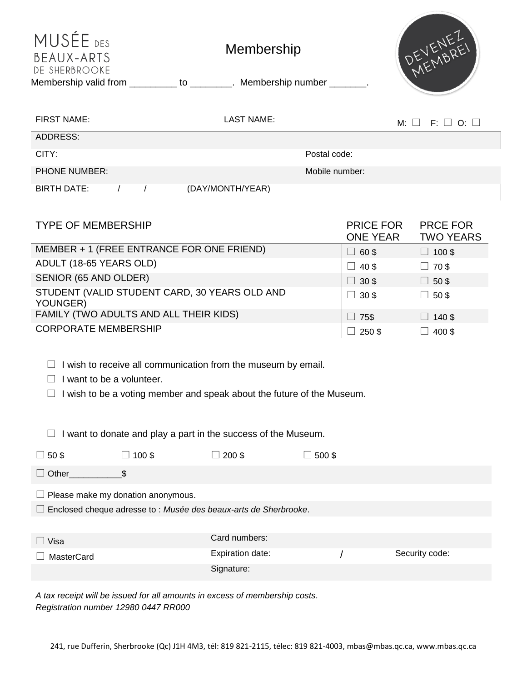| MUSÉE DES<br>BEAUX-ARTS<br>DE SHERBROOKE<br>Membership valid from __________ to ________. Membership number _______. |                   | DEVENEZ        |                                     |                                     |  |
|----------------------------------------------------------------------------------------------------------------------|-------------------|----------------|-------------------------------------|-------------------------------------|--|
| <b>FIRST NAME:</b>                                                                                                   | <b>LAST NAME:</b> |                |                                     | $M: \Box$ F: $\Box$ O: $\Box$       |  |
| ADDRESS:                                                                                                             |                   |                |                                     |                                     |  |
| CITY:                                                                                                                |                   | Postal code:   |                                     |                                     |  |
| <b>PHONE NUMBER:</b>                                                                                                 |                   | Mobile number: |                                     |                                     |  |
| BIRTH DATE:<br>$\prime$<br>$\prime$                                                                                  | (DAY/MONTH/YEAR)  |                |                                     |                                     |  |
| <b>TYPE OF MEMBERSHIP</b>                                                                                            |                   |                | <b>PRICE FOR</b><br><b>ONE YEAR</b> | <b>PRCE FOR</b><br><b>TWO YEARS</b> |  |
| MEMBER + 1 (FREE ENTRANCE FOR ONE FRIEND)                                                                            |                   |                | $\Box$ 60\$                         | $\Box$ 100\$                        |  |
| ADULT (18-65 YEARS OLD)                                                                                              | $\Box$ 40\$       | $\Box$ 70\$    |                                     |                                     |  |
| SENIOR (65 AND OLDER)                                                                                                | $\Box$ 30 \$      | $\Box$ 50\$    |                                     |                                     |  |
| STUDENT (VALID STUDENT CARD, 30 YEARS OLD AND<br>YOUNGER)                                                            |                   | $\Box$ 30\$    | $\Box$ 50\$                         |                                     |  |
| FAMILY (TWO ADULTS AND ALL THEIR KIDS)                                                                               | 75\$<br>$\Box$    | $\Box$ 140 \$  |                                     |                                     |  |

|  |  |  |  |  | $\Box$ I wish to receive all communication from the museum by email. |  |
|--|--|--|--|--|----------------------------------------------------------------------|--|
|  |  |  |  |  |                                                                      |  |

 $\Box$  I want to be a volunteer.

 $\Box$  I wish to be a voting member and speak about the future of the Museum.

CORPORATE MEMBERSHIP  $\Box$  250 \$  $\Box$  400 \$

 $\Box$  I want to donate and play a part in the success of the Museum.

| $\Box$ 50 \$                                                            | ◯ 100 \$ | $200$ \$         | $\Box$ 500 \$ |                |  |  |  |  |
|-------------------------------------------------------------------------|----------|------------------|---------------|----------------|--|--|--|--|
| $\Box$ Other                                                            |          |                  |               |                |  |  |  |  |
| $\Box$ Please make my donation anonymous.                               |          |                  |               |                |  |  |  |  |
| $\Box$ Enclosed cheque adresse to : Musée des beaux-arts de Sherbrooke. |          |                  |               |                |  |  |  |  |
|                                                                         |          |                  |               |                |  |  |  |  |
| $\Box$ Visa                                                             |          | Card numbers:    |               |                |  |  |  |  |
| <b>MasterCard</b>                                                       |          | Expiration date: |               | Security code: |  |  |  |  |
|                                                                         |          | Signature:       |               |                |  |  |  |  |

*A tax receipt will be issued for all amounts in excess of membership costs. Registration number 12980 0447 RR000*